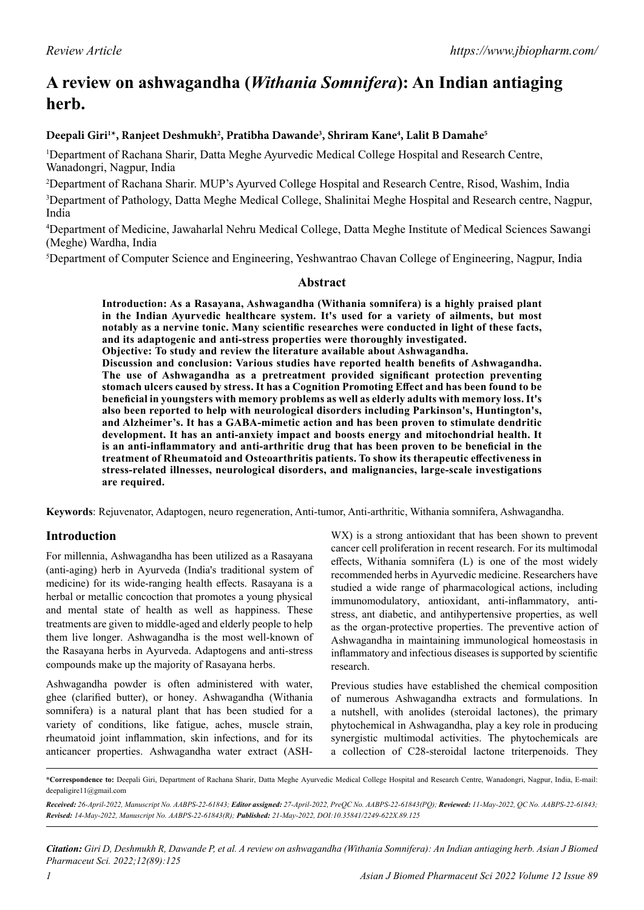# **A review on ashwagandha (***Withania Somnifera***): An Indian antiaging herb.**

#### Deepali Giri<sup>1</sup>\*, Ranjeet Deshmukh<sup>2</sup>, Pratibha Dawande<sup>3</sup>, Shriram Kane<sup>4</sup>, Lalit B Damahe<sup>5</sup>

1 Department of Rachana Sharir, Datta Meghe Ayurvedic Medical College Hospital and Research Centre, Wanadongri, Nagpur, India

2 Department of Rachana Sharir. MUP's Ayurved College Hospital and Research Centre, Risod, Washim, India 3 Department of Pathology, Datta Meghe Medical College, Shalinitai Meghe Hospital and Research centre, Nagpur, India

4 Department of Medicine, Jawaharlal Nehru Medical College, Datta Meghe Institute of Medical Sciences Sawangi (Meghe) Wardha, India

5 Department of Computer Science and Engineering, Yeshwantrao Chavan College of Engineering, Nagpur, India

#### **Abstract**

**Introduction: As a Rasayana, Ashwagandha (Withania somnifera) is a highly praised plant in the Indian Ayurvedic healthcare system. It's used for a variety of ailments, but most notably as a nervine tonic. Many scientific researches were conducted in light of these facts, and its adaptogenic and anti-stress properties were thoroughly investigated. Objective: To study and review the literature available about Ashwagandha. Discussion and conclusion: Various studies have reported health benefits of Ashwagandha. The use of Ashwagandha as a pretreatment provided significant protection preventing stomach ulcers caused by stress. It has a Cognition Promoting Effect and has been found to be beneficial in youngsters with memory problems as well as elderly adults with memory loss. It's also been reported to help with neurological disorders including Parkinson's, Huntington's, and Alzheimer's. It has a GABA-mimetic action and has been proven to stimulate dendritic development. It has an anti-anxiety impact and boosts energy and mitochondrial health. It** 

**is an anti-inflammatory and anti-arthritic drug that has been proven to be beneficial in the treatment of Rheumatoid and Osteoarthritis patients. To show its therapeutic effectiveness in stress-related illnesses, neurological disorders, and malignancies, large-scale investigations are required.**

**Keywords**: Rejuvenator, Adaptogen, neuro regeneration, Anti-tumor, Anti-arthritic, Withania somnifera, Ashwagandha.

## **Introduction**

For millennia, Ashwagandha has been utilized as a Rasayana (anti-aging) herb in Ayurveda (India's traditional system of medicine) for its wide-ranging health effects. Rasayana is a herbal or metallic concoction that promotes a young physical and mental state of health as well as happiness. These treatments are given to middle-aged and elderly people to help them live longer. Ashwagandha is the most well-known of the Rasayana herbs in Ayurveda. Adaptogens and anti-stress compounds make up the majority of Rasayana herbs.

Ashwagandha powder is often administered with water, ghee (clarified butter), or honey. Ashwagandha (Withania somnifera) is a natural plant that has been studied for a variety of conditions, like fatigue, aches, muscle strain, rheumatoid joint inflammation, skin infections, and for its anticancer properties. Ashwagandha water extract (ASH-

WX) is a strong antioxidant that has been shown to prevent cancer cell proliferation in recent research. For its multimodal effects, Withania somnifera (L) is one of the most widely recommended herbs in Ayurvedic medicine. Researchers have studied a wide range of pharmacological actions, including immunomodulatory, antioxidant, anti-inflammatory, antistress, ant diabetic, and antihypertensive properties, as well as the organ-protective properties. The preventive action of Ashwagandha in maintaining immunological homeostasis in inflammatory and infectious diseases is supported by scientific research.

Previous studies have established the chemical composition of numerous Ashwagandha extracts and formulations. In a nutshell, with anolides (steroidal lactones), the primary phytochemical in Ashwagandha, play a key role in producing synergistic multimodal activities. The phytochemicals are a collection of C28-steroidal lactone triterpenoids. They

**<sup>\*</sup>Correspondence to:** Deepali Giri, Department of Rachana Sharir, Datta Meghe Ayurvedic Medical College Hospital and Research Centre, Wanadongri, Nagpur, India, E-mail: deepaligire11@gmail.com

*Received: 26-April-2022, Manuscript No. AABPS-22-61843; Editor assigned: 27-April-2022, PreQC No. AABPS-22-61843(PQ); Reviewed: 11-May-2022, QC No. AABPS-22-61843; Revised: 14-May-2022, Manuscript No. AABPS-22-61843(R); Published: 21-May-2022, DOI:10.35841/2249-622X.89.125*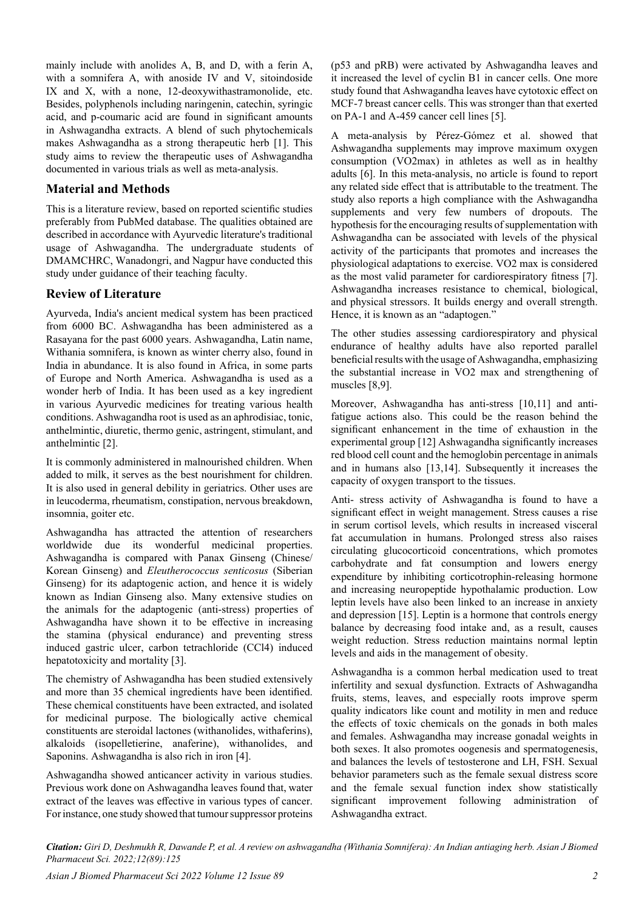mainly include with anolides A, B, and D, with a ferin A, with a somnifera A, with anoside IV and V, sitoindoside IX and X, with a none, 12-deoxywithastramonolide, etc. Besides, polyphenols including naringenin, catechin, syringic acid, and p-coumaric acid are found in significant amounts in Ashwagandha extracts. A blend of such phytochemicals makes Ashwagandha as a strong therapeutic herb [1]. This study aims to review the therapeutic uses of Ashwagandha documented in various trials as well as meta-analysis.

## **Material and Methods**

This is a literature review, based on reported scientific studies preferably from PubMed database. The qualities obtained are described in accordance with Ayurvedic literature's traditional usage of Ashwagandha. The undergraduate students of DMAMCHRC, Wanadongri, and Nagpur have conducted this study under guidance of their teaching faculty.

## **Review of Literature**

Ayurveda, India's ancient medical system has been practiced from 6000 BC. Ashwagandha has been administered as a Rasayana for the past 6000 years. Ashwagandha, Latin name, Withania somnifera, is known as winter cherry also, found in India in abundance. It is also found in Africa, in some parts of Europe and North America. Ashwagandha is used as a wonder herb of India. It has been used as a key ingredient in various Ayurvedic medicines for treating various health conditions. Ashwagandha root is used as an aphrodisiac, tonic, anthelmintic, diuretic, thermo genic, astringent, stimulant, and anthelmintic [2].

It is commonly administered in malnourished children. When added to milk, it serves as the best nourishment for children. It is also used in general debility in geriatrics. Other uses are in leucoderma, rheumatism, constipation, nervous breakdown, insomnia, goiter etc.

Ashwagandha has attracted the attention of researchers worldwide due its wonderful medicinal properties. Ashwagandha is compared with Panax Ginseng (Chinese/ Korean Ginseng) and *Eleutherococcus senticosus* (Siberian Ginseng) for its adaptogenic action, and hence it is widely known as Indian Ginseng also. Many extensive studies on the animals for the adaptogenic (anti-stress) properties of Ashwagandha have shown it to be effective in increasing the stamina (physical endurance) and preventing stress induced gastric ulcer, carbon tetrachloride (CCl4) induced hepatotoxicity and mortality [3].

The chemistry of Ashwagandha has been studied extensively and more than 35 chemical ingredients have been identified. These chemical constituents have been extracted, and isolated for medicinal purpose. The biologically active chemical constituents are steroidal lactones (withanolides, withaferins), alkaloids (isopelletierine, anaferine), withanolides, and Saponins. Ashwagandha is also rich in iron [4].

Ashwagandha showed anticancer activity in various studies. Previous work done on Ashwagandha leaves found that, water extract of the leaves was effective in various types of cancer. For instance, one study showed that tumour suppressor proteins (p53 and pRB) were activated by Ashwagandha leaves and it increased the level of cyclin B1 in cancer cells. One more study found that Ashwagandha leaves have cytotoxic effect on MCF-7 breast cancer cells. This was stronger than that exerted on PA-1 and A-459 cancer cell lines [5].

A meta-analysis by Pérez-Gómez et al. showed that Ashwagandha supplements may improve maximum oxygen consumption (VO2max) in athletes as well as in healthy adults [6]. In this meta-analysis, no article is found to report any related side effect that is attributable to the treatment. The study also reports a high compliance with the Ashwagandha supplements and very few numbers of dropouts. The hypothesis for the encouraging results of supplementation with Ashwagandha can be associated with levels of the physical activity of the participants that promotes and increases the physiological adaptations to exercise. VO2 max is considered as the most valid parameter for cardiorespiratory fitness [7]. Ashwagandha increases resistance to chemical, biological, and physical stressors. It builds energy and overall strength. Hence, it is known as an "adaptogen."

The other studies assessing cardiorespiratory and physical endurance of healthy adults have also reported parallel beneficial results with the usage of Ashwagandha, emphasizing the substantial increase in VO2 max and strengthening of muscles [8,9].

Moreover, Ashwagandha has anti-stress [10,11] and antifatigue actions also. This could be the reason behind the significant enhancement in the time of exhaustion in the experimental group [12] Ashwagandha significantly increases red blood cell count and the hemoglobin percentage in animals and in humans also [13,14]. Subsequently it increases the capacity of oxygen transport to the tissues.

Anti- stress activity of Ashwagandha is found to have a significant effect in weight management. Stress causes a rise in serum cortisol levels, which results in increased visceral fat accumulation in humans. Prolonged stress also raises circulating glucocorticoid concentrations, which promotes carbohydrate and fat consumption and lowers energy expenditure by inhibiting corticotrophin-releasing hormone and increasing neuropeptide hypothalamic production. Low leptin levels have also been linked to an increase in anxiety and depression [15]. Leptin is a hormone that controls energy balance by decreasing food intake and, as a result, causes weight reduction. Stress reduction maintains normal leptin levels and aids in the management of obesity.

Ashwagandha is a common herbal medication used to treat infertility and sexual dysfunction. Extracts of Ashwagandha fruits, stems, leaves, and especially roots improve sperm quality indicators like count and motility in men and reduce the effects of toxic chemicals on the gonads in both males and females. Ashwagandha may increase gonadal weights in both sexes. It also promotes oogenesis and spermatogenesis, and balances the levels of testosterone and LH, FSH. Sexual behavior parameters such as the female sexual distress score and the female sexual function index show statistically significant improvement following administration of Ashwagandha extract.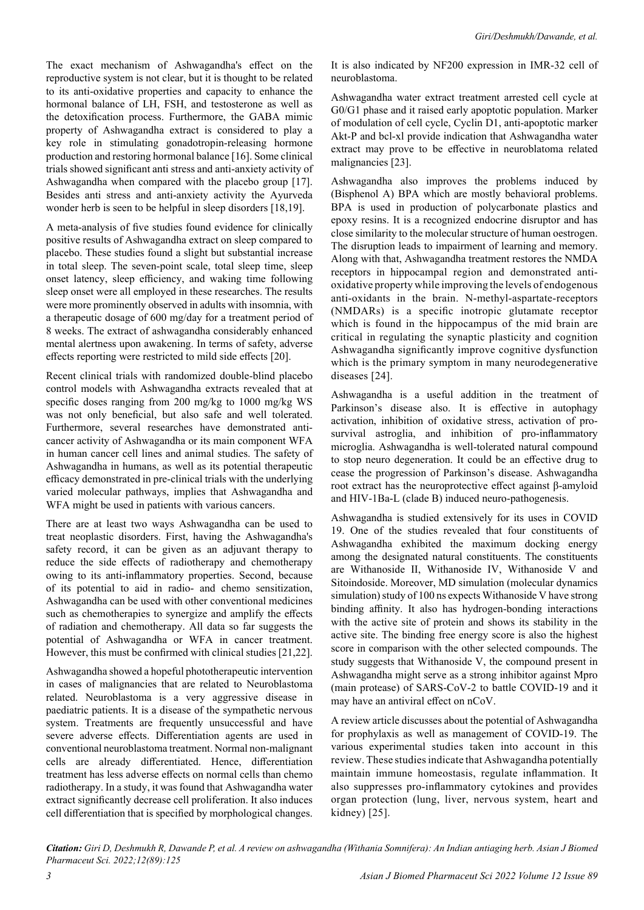The exact mechanism of Ashwagandha's effect on the reproductive system is not clear, but it is thought to be related to its anti-oxidative properties and capacity to enhance the hormonal balance of LH, FSH, and testosterone as well as the detoxification process. Furthermore, the GABA mimic property of Ashwagandha extract is considered to play a key role in stimulating gonadotropin-releasing hormone production and restoring hormonal balance [16]. Some clinical trials showed significant anti stress and anti-anxiety activity of Ashwagandha when compared with the placebo group [17]. Besides anti stress and anti-anxiety activity the Ayurveda wonder herb is seen to be helpful in sleep disorders [18,19].

A meta-analysis of five studies found evidence for clinically positive results of Ashwagandha extract on sleep compared to placebo. These studies found a slight but substantial increase in total sleep. The seven-point scale, total sleep time, sleep onset latency, sleep efficiency, and waking time following sleep onset were all employed in these researches. The results were more prominently observed in adults with insomnia, with a therapeutic dosage of 600 mg/day for a treatment period of 8 weeks. The extract of ashwagandha considerably enhanced mental alertness upon awakening. In terms of safety, adverse effects reporting were restricted to mild side effects [20].

Recent clinical trials with randomized double-blind placebo control models with Ashwagandha extracts revealed that at specific doses ranging from 200 mg/kg to 1000 mg/kg WS was not only beneficial, but also safe and well tolerated. Furthermore, several researches have demonstrated anticancer activity of Ashwagandha or its main component WFA in human cancer cell lines and animal studies. The safety of Ashwagandha in humans, as well as its potential therapeutic efficacy demonstrated in pre-clinical trials with the underlying varied molecular pathways, implies that Ashwagandha and WFA might be used in patients with various cancers.

There are at least two ways Ashwagandha can be used to treat neoplastic disorders. First, having the Ashwagandha's safety record, it can be given as an adjuvant therapy to reduce the side effects of radiotherapy and chemotherapy owing to its anti-inflammatory properties. Second, because of its potential to aid in radio- and chemo sensitization, Ashwagandha can be used with other conventional medicines such as chemotherapies to synergize and amplify the effects of radiation and chemotherapy. All data so far suggests the potential of Ashwagandha or WFA in cancer treatment. However, this must be confirmed with clinical studies [21,22].

Ashwagandha showed a hopeful phototherapeutic intervention in cases of malignancies that are related to Neuroblastoma related. Neuroblastoma is a very aggressive disease in paediatric patients. It is a disease of the sympathetic nervous system. Treatments are frequently unsuccessful and have severe adverse effects. Differentiation agents are used in conventional neuroblastoma treatment. Normal non-malignant cells are already differentiated. Hence, differentiation treatment has less adverse effects on normal cells than chemo radiotherapy. In a study, it was found that Ashwagandha water extract significantly decrease cell proliferation. It also induces cell differentiation that is specified by morphological changes.

It is also indicated by NF200 expression in IMR-32 cell of neuroblastoma.

Ashwagandha water extract treatment arrested cell cycle at G0/G1 phase and it raised early apoptotic population. Marker of modulation of cell cycle, Cyclin D1, anti-apoptotic marker Akt-P and bcl-xl provide indication that Ashwagandha water extract may prove to be effective in neuroblatoma related malignancies [23].

Ashwagandha also improves the problems induced by (Bisphenol A) BPA which are mostly behavioral problems. BPA is used in production of polycarbonate plastics and epoxy resins. It is a recognized endocrine disruptor and has close similarity to the molecular structure of human oestrogen. The disruption leads to impairment of learning and memory. Along with that, Ashwagandha treatment restores the NMDA receptors in hippocampal region and demonstrated antioxidative property while improving the levels of endogenous anti-oxidants in the brain. N-methyl-aspartate-receptors (NMDARs) is a specific inotropic glutamate receptor which is found in the hippocampus of the mid brain are critical in regulating the synaptic plasticity and cognition Ashwagandha significantly improve cognitive dysfunction which is the primary symptom in many neurodegenerative diseases [24].

Ashwagandha is a useful addition in the treatment of Parkinson's disease also. It is effective in autophagy activation, inhibition of oxidative stress, activation of prosurvival astroglia, and inhibition of pro-inflammatory microglia. Ashwagandha is well-tolerated natural compound to stop neuro degeneration. It could be an effective drug to cease the progression of Parkinson's disease. Ashwagandha root extract has the neuroprotective effect against β-amyloid and HIV-1Ba-L (clade B) induced neuro-pathogenesis.

Ashwagandha is studied extensively for its uses in COVID 19. One of the studies revealed that four constituents of Ashwagandha exhibited the maximum docking energy among the designated natural constituents. The constituents are Withanoside II, Withanoside IV, Withanoside V and Sitoindoside. Moreover, MD simulation (molecular dynamics simulation) study of 100 ns expects Withanoside V have strong binding affinity. It also has hydrogen-bonding interactions with the active site of protein and shows its stability in the active site. The binding free energy score is also the highest score in comparison with the other selected compounds. The study suggests that Withanoside V, the compound present in Ashwagandha might serve as a strong inhibitor against Mpro (main protease) of SARS-CoV-2 to battle COVID-19 and it may have an antiviral effect on nCoV.

A review article discusses about the potential of Ashwagandha for prophylaxis as well as management of COVID-19. The various experimental studies taken into account in this review. These studies indicate that Ashwagandha potentially maintain immune homeostasis, regulate inflammation. It also suppresses pro-inflammatory cytokines and provides organ protection (lung, liver, nervous system, heart and kidney) [25].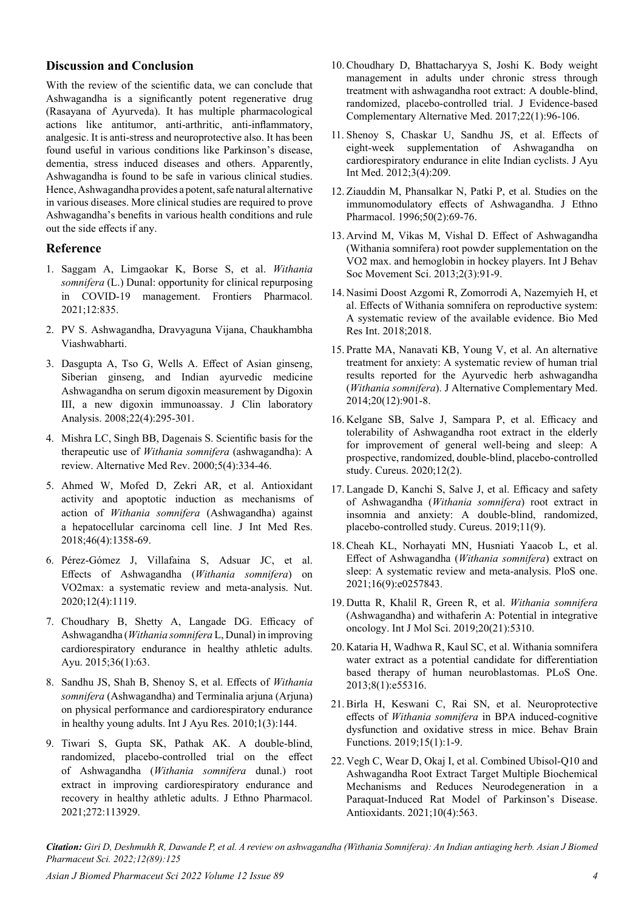## **Discussion and Conclusion**

With the review of the scientific data, we can conclude that Ashwagandha is a significantly potent regenerative drug (Rasayana of Ayurveda). It has multiple pharmacological actions like antitumor, anti-arthritic, anti-inflammatory, analgesic. It is anti-stress and neuroprotective also. It has been found useful in various conditions like Parkinson's disease, dementia, stress induced diseases and others. Apparently, Ashwagandha is found to be safe in various clinical studies. Hence, Ashwagandha provides a potent, safe natural alternative in various diseases. More clinical studies are required to prove Ashwagandha's benefits in various health conditions and rule out the side effects if any.

#### **Reference**

- 1. Saggam A, Limgaokar K, Borse S, et al. *[Withania](https://www.frontiersin.org/articles/10.3389/fphar.2021.623795/full) somnifera* [\(L.\) Dunal: opportunity for clinical repurposing](https://www.frontiersin.org/articles/10.3389/fphar.2021.623795/full) [in COVID-19 management.](https://www.frontiersin.org/articles/10.3389/fphar.2021.623795/full) Frontiers Pharmacol. 2021;12:835.
- 2. PV S. Ashwagandha, Dravyaguna Vijana, Chaukhambha Viashwabharti.
- 3. Dasgupta A, Tso G, Wells A. [Effect of Asian ginseng,](https://onlinelibrary.wiley.com/doi/abs/10.1002/jcla.20252) [Siberian ginseng, and Indian ayurvedic medicine](https://onlinelibrary.wiley.com/doi/abs/10.1002/jcla.20252) [Ashwagandha on serum digoxin measurement by Digoxin](https://onlinelibrary.wiley.com/doi/abs/10.1002/jcla.20252) [III, a new digoxin immunoassay.](https://onlinelibrary.wiley.com/doi/abs/10.1002/jcla.20252) J Clin laboratory Analysis. 2008;22(4):295-301.
- 4. Mishra LC, Singh BB, Dagenais S. [Scientific basis for the](https://www.evonuovo.com/wp-content/uploads/2019/11/Scientific-Basis-for-the-Therapeutic-Use-of-Withania-somnifera-Ashwagandha.pdf) therapeutic use of *[Withania somnifera](https://www.evonuovo.com/wp-content/uploads/2019/11/Scientific-Basis-for-the-Therapeutic-Use-of-Withania-somnifera-Ashwagandha.pdf)* (ashwagandha): A [review.](https://www.evonuovo.com/wp-content/uploads/2019/11/Scientific-Basis-for-the-Therapeutic-Use-of-Withania-somnifera-Ashwagandha.pdf) Alternative Med Rev. 2000;5(4):334-46.
- 5. Ahmed W, Mofed D, Zekri AR, et al. [Antioxidant](https://journals.sagepub.com/doi/full/10.1177/0300060517752022) [activity and apoptotic induction as mechanisms of](https://journals.sagepub.com/doi/full/10.1177/0300060517752022) action of *Withania somnifera* [\(Ashwagandha\) against](https://journals.sagepub.com/doi/full/10.1177/0300060517752022) [a hepatocellular carcinoma cell line](https://journals.sagepub.com/doi/full/10.1177/0300060517752022). J Int Med Res. 2018;46(4):1358-69.
- 6. Pérez-Gómez J, Villafaina S, Adsuar JC, et al. Effects of Ashwagandha (*Withania somnifera*) on VO2max: a systematic review and meta-analysis. Nut. 2020;12(4):1119.
- 7. Choudhary B, Shetty A, Langade DG. Efficacy of Ashwagandha (*Withania somnifera* L, Dunal) in improving cardiorespiratory endurance in healthy athletic adults. Ayu. 2015;36(1):63.
- 8. Sandhu JS, Shah B, Shenoy S, et al. Effects of *Withania somnifera* (Ashwagandha) and Terminalia arjuna (Arjuna) on physical performance and cardiorespiratory endurance in healthy young adults. Int J Ayu Res. 2010;1(3):144.
- 9. Tiwari S, Gupta SK, Pathak AK. [A double-blind,](https://www.sciencedirect.com/science/article/abs/pii/S0378874121001550) [randomized, placebo-controlled trial on the effect](https://www.sciencedirect.com/science/article/abs/pii/S0378874121001550) of Ashwagandha (*[Withania somnifera](https://www.sciencedirect.com/science/article/abs/pii/S0378874121001550)* dunal.) root [extract in improving cardiorespiratory endurance and](https://www.sciencedirect.com/science/article/abs/pii/S0378874121001550) [recovery in healthy athletic adults](https://www.sciencedirect.com/science/article/abs/pii/S0378874121001550). J Ethno Pharmacol. 2021;272:113929.
- 10. Choudhary D, Bhattacharyya S, Joshi K. [Body weight](https://journals.sagepub.com/doi/full/10.1177/2156587216641830)  [management in adults under chronic stress through](https://journals.sagepub.com/doi/full/10.1177/2156587216641830)  [treatment with ashwagandha root extract: A double-blind,](https://journals.sagepub.com/doi/full/10.1177/2156587216641830)  [randomized, placebo-controlled trial](https://journals.sagepub.com/doi/full/10.1177/2156587216641830). J Evidence-based Complementary Alternative Med. 2017;22(1):96-106.
- 11. Shenoy S, Chaskar U, Sandhu JS, et al. Effects of eight-week supplementation of Ashwagandha on cardiorespiratory endurance in elite Indian cyclists. J Ayu Int Med. 2012;3(4):209.
- 12. Ziauddin M, Phansalkar N, Patki P, et al. [Studies on the](https://www.sciencedirect.com/science/article/abs/pii/0378874195013180)  [immunomodulatory effects of Ashwagandha](https://www.sciencedirect.com/science/article/abs/pii/0378874195013180). J Ethno Pharmacol. 1996;50(2):69-76.
- 13. Arvind M, Vikas M, Vishal D. [Effect of Ashwagandha](https://www.cabdirect.org/cabdirect/abstract/20143022757)  [\(Withania somnifera\) root powder supplementation on the](https://www.cabdirect.org/cabdirect/abstract/20143022757)  [VO2 max. and hemoglobin in hockey players](https://www.cabdirect.org/cabdirect/abstract/20143022757). Int J Behav Soc Movement Sci. 2013;2(3):91-9.
- 14. Nasimi Doost Azgomi R, Zomorrodi A, Nazemyieh H, et al. [Effects of Withania somnifera on reproductive system:](https://www.hindawi.com/journals/bmri/2018/4076430/)  [A systematic review of the available evidence](https://www.hindawi.com/journals/bmri/2018/4076430/). Bio Med Res Int. 2018;2018.
- 15. Pratte MA, Nanavati KB, Young V, et al. [An alternative](https://www.liebertpub.com/doi/full/10.1089/acm.2014.0177)  [treatment for anxiety: A systematic review of human trial](https://www.liebertpub.com/doi/full/10.1089/acm.2014.0177)  [results reported for the Ayurvedic herb ashwagandha](https://www.liebertpub.com/doi/full/10.1089/acm.2014.0177)  (*[Withania somnifera](https://www.liebertpub.com/doi/full/10.1089/acm.2014.0177)*). J Alternative Complementary Med. 2014;20(12):901-8.
- 16. Kelgane SB, Salve J, Sampara P, et al. [Efficacy and](https://www.cureus.com/articles/27433-efficacy-and-tolerability-of-ashwagandha-root-extract-in-the-elderly-for-improvement-of-general-well-being-and-sleep-a-prospective-randomized-double-blind-placebo-controlled-study)  [tolerability of Ashwagandha root extract in the elderly](https://www.cureus.com/articles/27433-efficacy-and-tolerability-of-ashwagandha-root-extract-in-the-elderly-for-improvement-of-general-well-being-and-sleep-a-prospective-randomized-double-blind-placebo-controlled-study)  [for improvement of general well-being and sleep: A](https://www.cureus.com/articles/27433-efficacy-and-tolerability-of-ashwagandha-root-extract-in-the-elderly-for-improvement-of-general-well-being-and-sleep-a-prospective-randomized-double-blind-placebo-controlled-study)  [prospective, randomized, double-blind, placebo-controlled](https://www.cureus.com/articles/27433-efficacy-and-tolerability-of-ashwagandha-root-extract-in-the-elderly-for-improvement-of-general-well-being-and-sleep-a-prospective-randomized-double-blind-placebo-controlled-study)  [study.](https://www.cureus.com/articles/27433-efficacy-and-tolerability-of-ashwagandha-root-extract-in-the-elderly-for-improvement-of-general-well-being-and-sleep-a-prospective-randomized-double-blind-placebo-controlled-study) Cureus. 2020;12(2).
- 17. Langade D, Kanchi S, Salve J, et al. [Efficacy and safety](https://www.cureus.com/articles/22928-efficacy-and-safety-of-ashwagandha-withania-somnifera-root-extract-in-insomnia-and-anxiety-a-double-blind-randomized-placebo-controlled-study)  of Ashwagandha (*[Withania somnifera](https://www.cureus.com/articles/22928-efficacy-and-safety-of-ashwagandha-withania-somnifera-root-extract-in-insomnia-and-anxiety-a-double-blind-randomized-placebo-controlled-study)*) root extract in [insomnia and anxiety: A double-blind, randomized,](https://www.cureus.com/articles/22928-efficacy-and-safety-of-ashwagandha-withania-somnifera-root-extract-in-insomnia-and-anxiety-a-double-blind-randomized-placebo-controlled-study)  [placebo-controlled study](https://www.cureus.com/articles/22928-efficacy-and-safety-of-ashwagandha-withania-somnifera-root-extract-in-insomnia-and-anxiety-a-double-blind-randomized-placebo-controlled-study). Cureus. 2019;11(9).
- 18. Cheah KL, Norhayati MN, Husniati Yaacob L, et al. [Effect of Ashwagandha \(](https://journals.plos.org/plosone/article?id=10.1371/journal.pone.0257843)*Withania somnifera*) extract on [sleep: A systematic review and meta-analysis](https://journals.plos.org/plosone/article?id=10.1371/journal.pone.0257843). PloS one. 2021;16(9):e0257843.
- 19. Dutta R, Khalil R, Green R, et al. *Withania somnifera*  (Ashwagandha) and withaferin A: Potential in integrative oncology. Int J Mol Sci. 2019;20(21):5310.
- 20. Kataria H, Wadhwa R, Kaul SC, et al. [Withania somnifera](https://journals.plos.org/plosone/article?id=10.1371/journal.pone.0055316)  [water extract as a potential candidate for differentiation](https://journals.plos.org/plosone/article?id=10.1371/journal.pone.0055316)  [based therapy of human neuroblastomas](https://journals.plos.org/plosone/article?id=10.1371/journal.pone.0055316). PLoS One. 2013;8(1):e55316.
- 21. Birla H, Keswani C, Rai SN, et al. [Neuroprotective](https://behavioralandbrainfunctions.biomedcentral.com/articles/10.1186/s12993-019-0160-4)  effects of *Withania somnifera* [in BPA induced-cognitive](https://behavioralandbrainfunctions.biomedcentral.com/articles/10.1186/s12993-019-0160-4)  [dysfunction and oxidative stress in mice.](https://behavioralandbrainfunctions.biomedcentral.com/articles/10.1186/s12993-019-0160-4) Behav Brain Functions. 2019;15(1):1-9.
- 22. Vegh C, Wear D, Okaj I, et al. Combined Ubisol-Q10 and Ashwagandha Root Extract Target Multiple Biochemical Mechanisms and Reduces Neurodegeneration in a Paraquat-Induced Rat Model of Parkinson's Disease. Antioxidants. 2021;10(4):563.